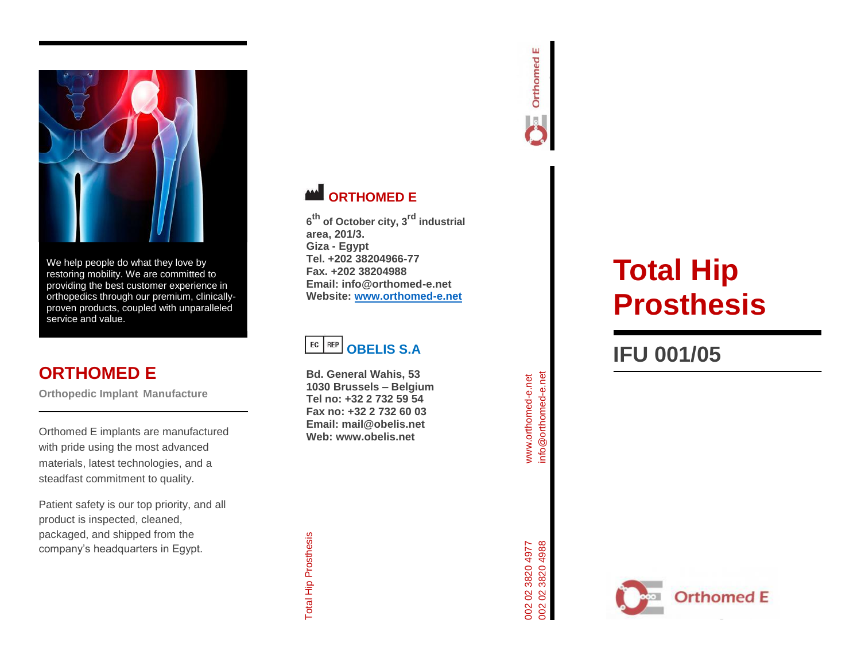

We help people do what they love by restoring mobility. We are committed to providing the best customer experience in orthopedics through our premium, clinically proven products, coupled with unparalleled service and value.

# **ORTHOMED E**

**Orthopedic Implant Manufacture**

Orthomed E implants are manufactured with pride using the most advanced materials, latest technologies, and a steadfast commitment to quality.

Patient safety is our top priority, and all product is inspected, cleaned, packaged, and shipped from the company's headquarters in Egypt.





**6 th of October city, 3rd industrial area, 201/3. Giza - Egypt Tel. +202 38204966 -77 Fax. +202 38204988 Email: info@orthomed -e.net Website: [www.orthomed](http://www.orthomed-e.net/) -e.net**

#### $EC$  REP **OBELIS S.A**

**Bd. General Wahis, 53 1030 Brussels – Belgium Tel no: +32 2 732 59 54 Fax no: +32 2 732 60 03 Email: mail@obelis.net Web: www.obelis.net**



# **Total Hip Prosthesis**

# **IFU 001/05**





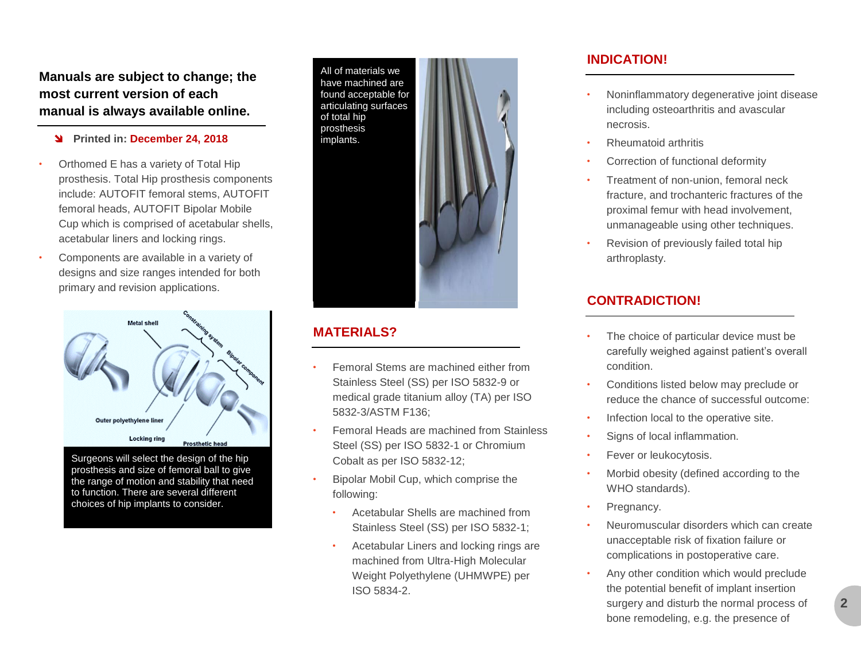**Manuals are subject to change; the most current version of each manual is always available online.**

#### **Printed in: December 24, 2018**

- Orthomed E has a variety of Total Hip prosthesis. Total Hip prosthesis components include: AUTOFIT femoral stems, AUTOFIT femoral heads, AUTOFIT Bipolar Mobile Cup which is comprised of acetabular shells, acetabular liners and locking rings.
- Components are available in a variety of designs and size ranges intended for both primary and revision applications.



Surgeons will select the design of the hip prosthesis and size of femoral ball to give the range of motion and stability that need to function. There are several different choices of hip implants to consider.

All of materials we have machined are found acceptable for articulating surfaces of total hip prosthesis implants.

#### **MATERIALS?**

- Femoral Stems are machined either from Stainless Steel (SS) per ISO 5832-9 or medical grade titanium alloy (TA) per ISO 5832-3/ASTM F136;
- Femoral Heads are machined from Stainless Steel (SS) per ISO 5832-1 or Chromium Cobalt as per ISO 5832-12;
- Bipolar Mobil Cup, which comprise the following:
	- Acetabular Shells are machined from Stainless Steel (SS) per ISO 5832-1;
	- Acetabular Liners and locking rings are machined from Ultra-High Molecular Weight Polyethylene (UHMWPE) per ISO 5834-2.

#### **INDICATION!**

- Noninflammatory degenerative joint disease including osteoarthritis and avascular necrosis.
- Rheumatoid arthritis
- Correction of functional deformity
- Treatment of non-union, femoral neck fracture, and trochanteric fractures of the proximal femur with head involvement, unmanageable using other techniques.
- Revision of previously failed total hip arthroplasty.

### **CONTRADICTION!**

- The choice of particular device must be carefully weighed against patient's overall condition.
- Conditions listed below may preclude or reduce the chance of successful outcome:
- Infection local to the operative site.
- Signs of local inflammation.
- Fever or leukocytosis.
- Morbid obesity (defined according to the WHO standards).
- Pregnancy.
- Neuromuscular disorders which can create unacceptable risk of fixation failure or complications in postoperative care.
- Any other condition which would preclude the potential benefit of implant insertion surgery and disturb the normal process of bone remodeling, e.g. the presence of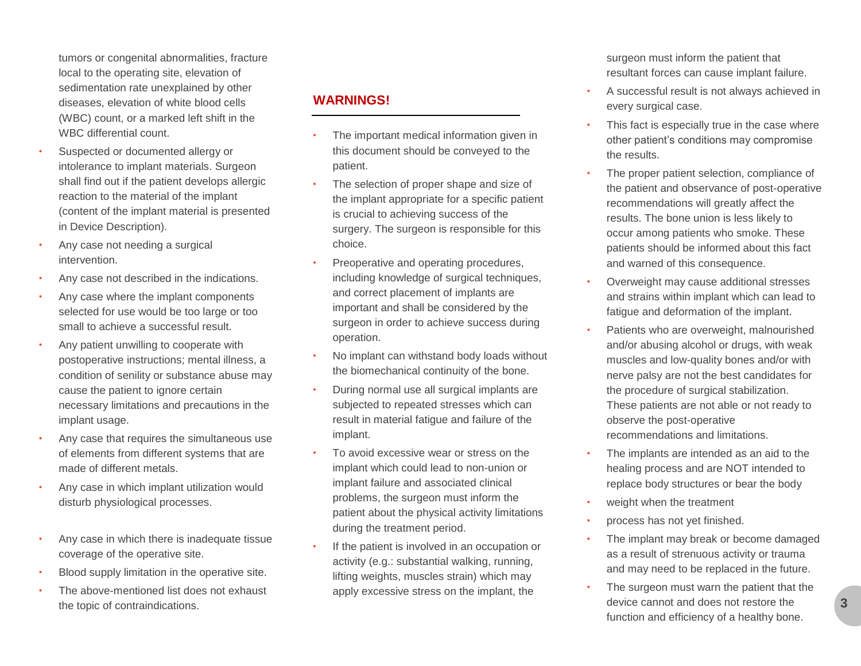tumors or congenital abnormalities, fracture local to the operating site, elevation of sedimentation rate unexplained by other diseases, elevation of white blood cells (WBC) count, or a marked left shift in the WBC differential count.

- Suspected or documented allergy or intolerance to implant materials. Surgeon shall find out if the patient develops allergic reaction to the material of the implant (content of the implant material is presented in Device Description).
- Any case not needing a surgical intervention.
- Any case not described in the indications.
- Any case where the implant components selected for use would be too large or too small to achieve a successful result.
- Any patient unwilling to cooperate with postoperative instructions; mental illness, a condition of senility or substance abuse may cause the patient to ignore certain necessary limitations and precautions in the implant usage.
- Any case that requires the simultaneous use of elements from different systems that are made of different metals.
- Any case in which implant utilization would disturb physiological processes.
- Any case in which there is inadequate tissue coverage of the operative site.
- Blood supply limitation in the operative site.
- The above-mentioned list does not exhaust the topic of contraindications.

### **WARNINGS!**

- The important medical information given in this document should be conveyed to the patient.
- The selection of proper shape and size of the implant appropriate for a specific patient is crucial to achieving success of the surgery. The surgeon is responsible for this choice.
- Preoperative and operating procedures, including knowledge of surgical techniques, and correct placement of implants are important and shall be considered by the surgeon in order to achieve success during operation.
- No implant can withstand body loads without the biomechanical continuity of the bone.
- During normal use all surgical implants are subjected to repeated stresses which can result in material fatigue and failure of the implant.
- To avoid excessive wear or stress on the implant which could lead to non-union or implant failure and associated clinical problems, the surgeon must inform the patient about the physical activity limitations during the treatment period.
- If the patient is involved in an occupation or activity (e.g.: substantial walking, running, lifting weights, muscles strain) which may apply excessive stress on the implant, the

surgeon must inform the patient that resultant forces can cause implant failure.

- A successful result is not always achieved in every surgical case.
- This fact is especially true in the case where other patient's conditions may compromise the results.
- The proper patient selection, compliance of the patient and observance of post-operative recommendations will greatly affect the results. The bone union is less likely to occur among patients who smoke. These patients should be informed about this fact and warned of this consequence.
- Overweight may cause additional stresses and strains within implant which can lead to fatigue and deformation of the implant.
- Patients who are overweight, malnourished and/or abusing alcohol or drugs, with weak muscles and low-quality bones and/or with nerve palsy are not the best candidates for the procedure of surgical stabilization. These patients are not able or not ready to observe the post-operative recommendations and limitations.
- The implants are intended as an aid to the healing process and are NOT intended to replace body structures or bear the body
- weight when the treatment
- process has not yet finished.
- The implant may break or become damaged as a result of strenuous activity or trauma and may need to be replaced in the future.
- The surgeon must warn the patient that the device cannot and does not restore the function and efficiency of a healthy bone.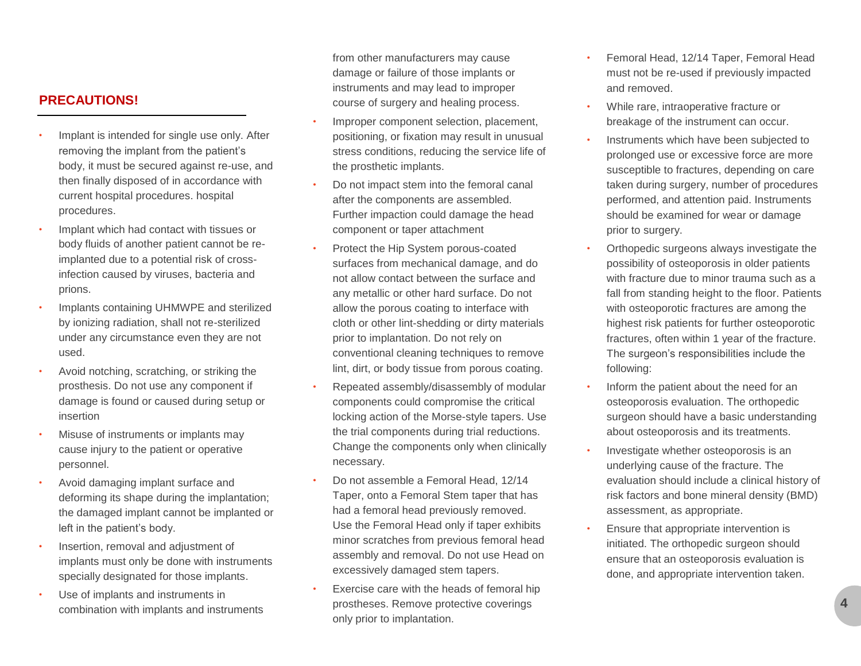#### **PRECAUTIONS!**

- Implant is intended for single use only. After removing the implant from the patient's body, it must be secured against re-use, and then finally disposed of in accordance with current hospital procedures. hospital procedures.
- Implant which had contact with tissues or body fluids of another patient cannot be reimplanted due to a potential risk of crossinfection caused by viruses, bacteria and prions.
- Implants containing UHMWPE and sterilized by ionizing radiation, shall not re-sterilized under any circumstance even they are not used.
- Avoid notching, scratching, or striking the prosthesis. Do not use any component if damage is found or caused during setup or insertion
- Misuse of instruments or implants may cause injury to the patient or operative personnel.
- Avoid damaging implant surface and deforming its shape during the implantation; the damaged implant cannot be implanted or left in the patient's body.
- Insertion, removal and adjustment of implants must only be done with instruments specially designated for those implants.
- Use of implants and instruments in combination with implants and instruments

from other manufacturers may cause damage or failure of those implants or instruments and may lead to improper course of surgery and healing process.

- Improper component selection, placement, positioning, or fixation may result in unusual stress conditions, reducing the service life of the prosthetic implants.
- Do not impact stem into the femoral canal after the components are assembled. Further impaction could damage the head component or taper attachment
- Protect the Hip System porous-coated surfaces from mechanical damage, and do not allow contact between the surface and any metallic or other hard surface. Do not allow the porous coating to interface with cloth or other lint-shedding or dirty materials prior to implantation. Do not rely on conventional cleaning techniques to remove lint, dirt, or body tissue from porous coating.
- Repeated assembly/disassembly of modular components could compromise the critical locking action of the Morse-style tapers. Use the trial components during trial reductions. Change the components only when clinically necessary.
- Do not assemble a Femoral Head, 12/14 Taper, onto a Femoral Stem taper that has had a femoral head previously removed. Use the Femoral Head only if taper exhibits minor scratches from previous femoral head assembly and removal. Do not use Head on excessively damaged stem tapers.
- Exercise care with the heads of femoral hip prostheses. Remove protective coverings only prior to implantation.
- Femoral Head, 12/14 Taper, Femoral Head must not be re-used if previously impacted and removed.
- While rare, intraoperative fracture or breakage of the instrument can occur.
- Instruments which have been subjected to prolonged use or excessive force are more susceptible to fractures, depending on care taken during surgery, number of procedures performed, and attention paid. Instruments should be examined for wear or damage prior to surgery.
- Orthopedic surgeons always investigate the possibility of osteoporosis in older patients with fracture due to minor trauma such as a fall from standing height to the floor. Patients with osteoporotic fractures are among the highest risk patients for further osteoporotic fractures, often within 1 year of the fracture. The surgeon's responsibilities include the following:
- Inform the patient about the need for an osteoporosis evaluation. The orthopedic surgeon should have a basic understanding about osteoporosis and its treatments.
- Investigate whether osteoporosis is an underlying cause of the fracture. The evaluation should include a clinical history of risk factors and bone mineral density (BMD) assessment, as appropriate.
- Ensure that appropriate intervention is initiated. The orthopedic surgeon should ensure that an osteoporosis evaluation is done, and appropriate intervention taken.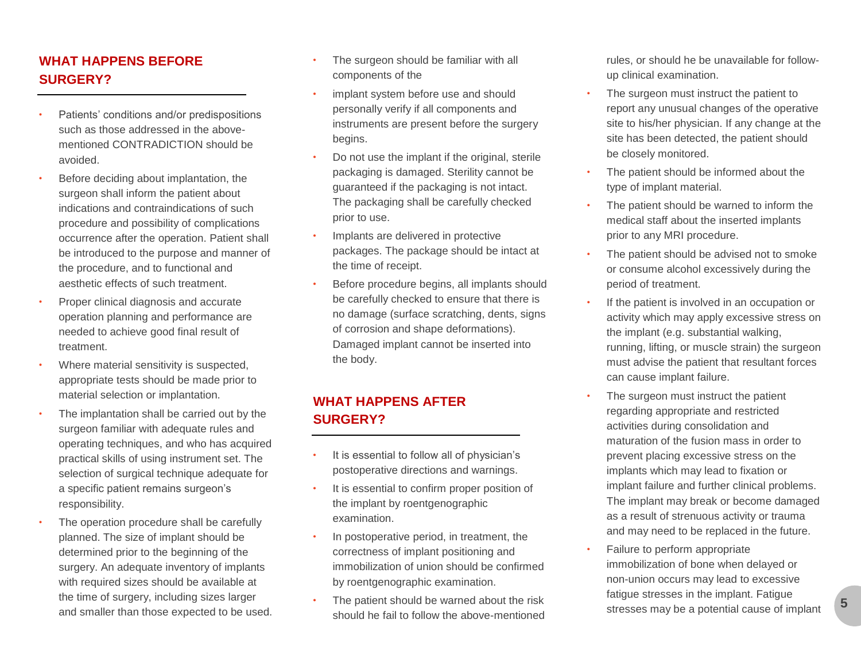### **WHAT HAPPENS BEFORE SURGERY?**

- Patients' conditions and/or predispositions such as those addressed in the abovementioned CONTRADICTION should be avoided.
- Before deciding about implantation, the surgeon shall inform the patient about indications and contraindications of such procedure and possibility of complications occurrence after the operation. Patient shall be introduced to the purpose and manner of the procedure, and to functional and aesthetic effects of such treatment.
- Proper clinical diagnosis and accurate operation planning and performance are needed to achieve good final result of treatment.
- Where material sensitivity is suspected, appropriate tests should be made prior to material selection or implantation.
- The implantation shall be carried out by the surgeon familiar with adequate rules and operating techniques, and who has acquired practical skills of using instrument set. The selection of surgical technique adequate for a specific patient remains surgeon's responsibility.
- The operation procedure shall be carefully planned. The size of implant should be determined prior to the beginning of the surgery. An adequate inventory of implants with required sizes should be available at the time of surgery, including sizes larger and smaller than those expected to be used.
- The surgeon should be familiar with all components of the
- implant system before use and should personally verify if all components and instruments are present before the surgery begins.
- Do not use the implant if the original, sterile packaging is damaged. Sterility cannot be guaranteed if the packaging is not intact. The packaging shall be carefully checked prior to use.
- Implants are delivered in protective packages. The package should be intact at the time of receipt.
- Before procedure begins, all implants should be carefully checked to ensure that there is no damage (surface scratching, dents, signs of corrosion and shape deformations). Damaged implant cannot be inserted into the body.

#### **WHAT HAPPENS AFTER SURGERY?**

- It is essential to follow all of physician's postoperative directions and warnings.
- It is essential to confirm proper position of the implant by roentgenographic examination.
- In postoperative period, in treatment, the correctness of implant positioning and immobilization of union should be confirmed by roentgenographic examination.
- The patient should be warned about the risk should he fail to follow the above-mentioned

rules, or should he be unavailable for followup clinical examination.

- The surgeon must instruct the patient to report any unusual changes of the operative site to his/her physician. If any change at the site has been detected, the patient should be closely monitored.
- The patient should be informed about the type of implant material.
- The patient should be warned to inform the medical staff about the inserted implants prior to any MRI procedure.
- The patient should be advised not to smoke or consume alcohol excessively during the period of treatment.
- If the patient is involved in an occupation or activity which may apply excessive stress on the implant (e.g. substantial walking, running, lifting, or muscle strain) the surgeon must advise the patient that resultant forces can cause implant failure.
- The surgeon must instruct the patient regarding appropriate and restricted activities during consolidation and maturation of the fusion mass in order to prevent placing excessive stress on the implants which may lead to fixation or implant failure and further clinical problems. The implant may break or become damaged as a result of strenuous activity or trauma and may need to be replaced in the future.
- Failure to perform appropriate immobilization of bone when delayed or non-union occurs may lead to excessive fatigue stresses in the implant. Fatigue stresses may be a potential cause of implant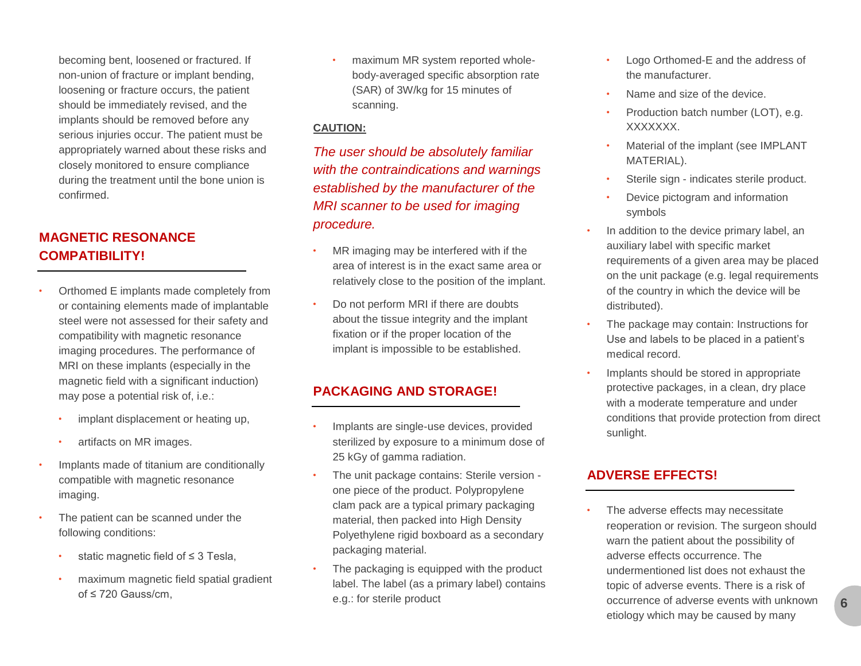becoming bent, loosened or fractured. If non-union of fracture or implant bending, loosening or fracture occurs, the patient should be immediately revised, and the implants should be removed before any serious injuries occur. The patient must be appropriately warned about these risks and closely monitored to ensure compliance during the treatment until the bone union is confirmed.

### **MAGNETIC RESONANCE COMPATIBILITY!**

- Orthomed E implants made completely from or containing elements made of implantable steel were not assessed for their safety and compatibility with magnetic resonance imaging procedures. The performance of MRI on these implants (especially in the magnetic field with a significant induction) may pose a potential risk of, i.e.:
	- implant displacement or heating up,
	- artifacts on MR images.
- Implants made of titanium are conditionally compatible with magnetic resonance imaging.
- The patient can be scanned under the following conditions:
	- static magnetic field of  $\leq$  3 Tesla,
	- maximum magnetic field spatial gradient  $of \leq 720$  Gauss/cm.

• maximum MR system reported wholebody-averaged specific absorption rate (SAR) of 3W/kg for 15 minutes of scanning.

#### **CAUTION:**

*The user should be absolutely familiar with the contraindications and warnings established by the manufacturer of the MRI scanner to be used for imaging procedure.*

- MR imaging may be interfered with if the area of interest is in the exact same area or relatively close to the position of the implant.
- Do not perform MRI if there are doubts about the tissue integrity and the implant fixation or if the proper location of the implant is impossible to be established.

#### **PACKAGING AND STORAGE!**

- Implants are single-use devices, provided sterilized by exposure to a minimum dose of 25 kGy of gamma radiation.
- The unit package contains: Sterile version one piece of the product. Polypropylene clam pack are a typical primary packaging material, then packed into High Density Polyethylene rigid boxboard as a secondary packaging material.
- The packaging is equipped with the product label. The label (as a primary label) contains e.g.: for sterile product
- Logo Orthomed-E and the address of the manufacturer.
- Name and size of the device.
- Production batch number (LOT), e.g. XXXXXXX.
- Material of the implant (see IMPLANT MATERIAL).
- Sterile sign indicates sterile product.
- Device pictogram and information symbols
- In addition to the device primary label, an auxiliary label with specific market requirements of a given area may be placed on the unit package (e.g. legal requirements of the country in which the device will be distributed).
- The package may contain: Instructions for Use and labels to be placed in a patient's medical record.
- Implants should be stored in appropriate protective packages, in a clean, dry place with a moderate temperature and under conditions that provide protection from direct sunlight.

#### **ADVERSE EFFECTS!**

The adverse effects may necessitate reoperation or revision. The surgeon should warn the patient about the possibility of adverse effects occurrence. The undermentioned list does not exhaust the topic of adverse events. There is a risk of occurrence of adverse events with unknown etiology which may be caused by many